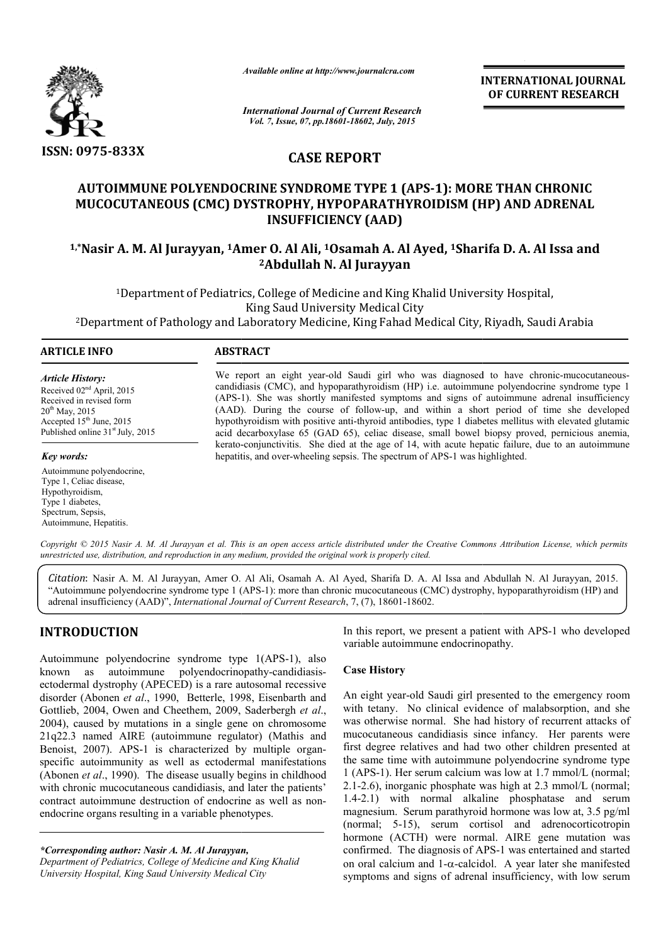

*Available online at http://www.journalcra.com*

**INTERNATIONAL INTERNATIONAL JOURNAL OF CURRENT RESEARCH** 

*International Journal of Current Research Vol. 7, Issue, 07, pp.18601-18602, July, 2015*

## **CASE REPORT**

# **AUTOIMMUNE POLYENDOCRINE SYNDROME TYPE 1 (APS (APS-1): MORE THAN CHRONIC MUCOCUTANEOUS (CMC) DYSTROPHY, HYPOPARATHYROIDISM (HP) AND ADRENAL**  AUTOIMMUNE POLYENDOCRINE SYNDROME TYPE 1 (APS-1): MORE THAN CHRONIC<br>MUCOCUTANEOUS (CMC) DYSTROPHY, HYPOPARATHYROIDISM (HP) AND ADRENAL<br>INSUFFICIENCY (AAD)<br><sup>1,\*</sup>Nasir A. M. Al Jurayyan, <sup>1</sup>Amer O. Al Ali, <sup>1</sup>Osamah A. Al Ay **INSUFFICIENCY (AAD)**

# **2Abdullah N. Al Jurayyan**

<sup>1</sup>Department of Pediatrics, College of Medicine and King Khalid University Hospital,<br>King Saud University Medical City 2Department of Pathology and Laboratory Medicine, King Fahad Medical City, Riyadh, Saudi Arabia Department <sup>1</sup>Department of Pediatrics, College of Medicine and King Khalid University Hospital,<br>King Saud University Medical City<br>Department of Pathology and Laboratory Medicine, King Fahad Medical City, Riyadh, Saudi Arabia

#### **ARTICLE INFO ABSTRACT**

*Article History:* Received 02nd April, 2015 Received in revised form 20<sup>th</sup> May, 2015 Accepted 15<sup>th</sup> June, 2015 Published online 31<sup>st</sup> July, 2015

*Key words:*

Autoimmune polyendocrine, Type 1, Celiac disease, Hypothyroidism, Type 1 diabetes, Spectrum, Sepsis, Autoimmune, Hepatitis.

We report an eight year-old Saudi girl who was diagnosed to have chronic-mucocutaneouscandidiasis (CMC), and hypoparathyroidism (HP) i.e. autoimmune polyendocrine syndrome type 1 (APS-1). She was shortly manifested symptoms and signs of autoimmune adrenal insufficiency 1). (AAD). During the course of follow-up, and within a short period of time she developed hypothyroidism with positive anti-thyroid antibodies, type 1 diabetes mellitus with elevated glutamic acid decarboxylase 65 (GAD 65), celiac disease, small bowel biopsy proved, perni kerato-conjunctivitis. She died at the age of 14, with acute hepatic failure, due to an autoimmune hepatitis, and over-wheeling sepsis. The spectrum of APS-1 was highlighted. hepatitis, and over-wheeling sepsis. The spectrum of APS-1 was highlighted. and hypoparathyroidism (HP) i.e. autoimmune polyendocrine syndrome type 1 shortly manifested symptoms and signs of autoimmune adrenal insufficiency e course of follow-up, and within a short period of time she developed a p

*Copyright © 2015 Nasir A. M. Al Jurayyan et al. This is an open access article distributed under the Creative Commons Att under Attribution License, which permits unrestricted use, distribution, and reproduction in any medium, provided the original work is properly cited.*

Citation: Nasir A. M. Al Jurayyan, Amer O. Al Ali, Osamah A. Al Ayed, Sharifa D. A. Al Issa and Abdullah N. Al Jurayyan, 2015. "Autoimmune polyendocrine syndrome type 1 (APS-1): more than chronic mucocutaneous (CMC) dystrophy, hypoparathyroidism (HP) and adrenal insufficiency (AAD)", *International Journal of Current Research*, 7, (7), 18601-18602.

# **INTRODUCTION**

Autoimmune polyendocrine syndrome type 1(APS 1(APS-1), also known as autoimmune polyendocrinopathy polyendocrinopathy-candidiasisectodermal dystrophy (APECED) is a rare autosomal recessive disorder (Abonen *et al*., 1990, Betterle, 1998, Eisenbarth and Gottlieb, 2004, Owen and Cheethem, 2009, Saderbergh *et al*., 2004), caused by mutations in a single gene on chromosome 21q22.3 named AIRE (autoimmune regulator) (Mathis and 21q22.3 named AIRE (autoimmune regulator) (Mathis and Benoist, 2007). APS-1 is characterized by multiple organspecific autoimmunity as well as ectodermal manifestations (Abonen *et al*., 1990). The disease usually begins in childhood with chronic mucocutaneous candidiasis, and later the patients' contract autoimmune destruction of endocrine as well as nonendocrine organs resulting in a variable phenotypes.

*\*Corresponding author: Nasir A. M. Al Jurayyan, Department of Pediatrics, College of Medicine and King Khalid University Hospital, King Saud University Medical City* 

In this report, we present a patient with APS-1 who developed variable autoimmune endocrinopathy.

#### **Case History**

An eight year-old Saudi girl presented to the emergency room with tetany. No clinical evidence of malabsorption, and she was otherwise normal. She had history of recurrent attacks of mucocutaneous candidiasis since infancy. Her parents were with tetany. No clinical evidence of malabsorption, and she was otherwise normal. She had history of recurrent attacks of mucocutaneous candidiasis since infancy. Her parents were first degree relatives and had two other c the same time with autoimmune polyendocrine syndrome type 1 (APS-1). Her serum calcium was low at 1.7 mmol/L (normal; 2.1-2.6), inorganic phosphate was high at 2.3 mmol/L (normal; the same time with autoimmune polyendocrine syndrome type 1 (APS-1). Her serum calcium was low at 1.7 mmol/L (normal; 2.1-2.6), inorganic phosphate was high at 2.3 mmol/L (normal; 1.4-2.1) with normal alkaline phosphatase magnesium. Serum parathyroid hormone was low at, 3.5 pg/ml (normal; 5-15), serum cortisol and adrenocorticotropin hormone (ACTH) were normal. AIRE gene mutation was confirmed. The diagnosis of APS-1 was entertained and started hormone (ACTH) were normal. AIRE gene mutation was confirmed. The diagnosis of APS-1 was entertained and started on oral calcium and 1- $\alpha$ -calcidol. A year later she manifested symptoms and signs of adrenal insufficiency, with low serum **INTERNATIONAL JOURNAL OF CURRENT RESEARCH CONTRAL OF CURRENT RESEARCH CONTRAL OF CURRENT RESEARCH Sharifa D. A. Al Issa and niversity Hospital, <br>
Sharifa D. A. Al Issa and niversity Hospital, <br>
City, Riyadh, Saudi Arabia**